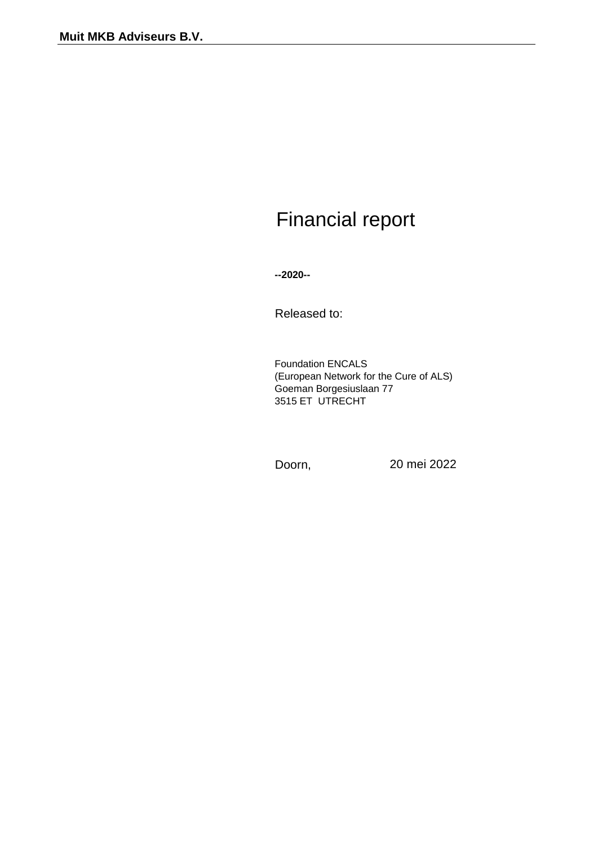# Financial report

**--2020--**

Released to:

Foundation ENCALS Goeman Borgesiuslaan 77 3515 ET UTRECHT (European Network for the Cure of ALS)

Doorn, 20 mei 2022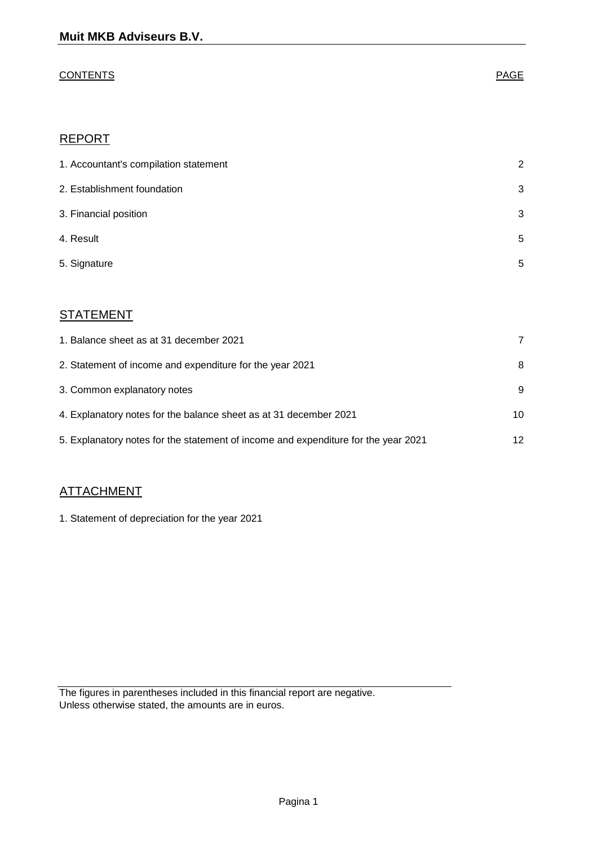# CONTENTS **PAGE**

# REPORT

| 1. Accountant's compilation statement | 2 |
|---------------------------------------|---|
| 2. Establishment foundation           | 3 |
| 3. Financial position                 | 3 |
| 4. Result                             | 5 |
| 5. Signature                          | 5 |

# **STATEMENT**

| 1. Balance sheet as at 31 december 2021                                            |    |
|------------------------------------------------------------------------------------|----|
| 2. Statement of income and expenditure for the year 2021                           | 8  |
| 3. Common explanatory notes                                                        | 9  |
| 4. Explanatory notes for the balance sheet as at 31 december 2021                  | 10 |
| 5. Explanatory notes for the statement of income and expenditure for the year 2021 | 12 |

# **ATTACHMENT**

1. Statement of depreciation for the year 2021

The figures in parentheses included in this financial report are negative. Unless otherwise stated, the amounts are in euros.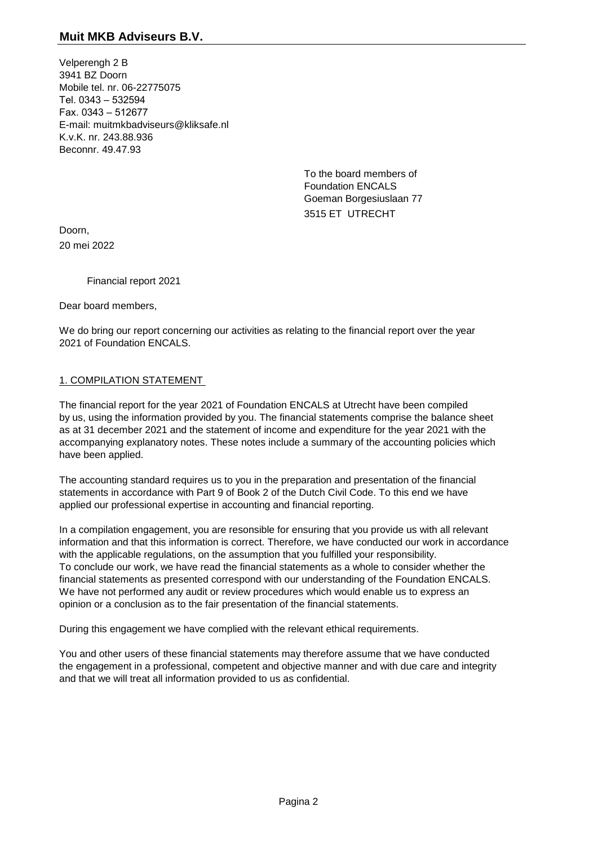Velperengh 2 B 3941 BZ Doorn Mobile tel. nr. 06-22775075 Tel. 0343 – 532594 Fax. 0343 – 512677 E-mail: muitmkbadviseurs@kliksafe.nl K.v.K. nr. 243.88.936 Beconnr. 49.47.93

> To the board members of Foundation ENCALS Goeman Borgesiuslaan 77 3515 ET UTRECHT

Doorn, 20 mei 2022

Financial report 2021

Dear board members,

We do bring our report concerning our activities as relating to the financial report over the year 2021 of Foundation ENCALS.

#### 1. COMPILATION STATEMENT

The financial report for the year 2021 of Foundation ENCALS at Utrecht have been compiled by us, using the information provided by you. The financial statements comprise the balance sheet as at 31 december 2021 and the statement of income and expenditure for the year 2021 with the accompanying explanatory notes. These notes include a summary of the accounting policies which have been applied.

The accounting standard requires us to you in the preparation and presentation of the financial statements in accordance with Part 9 of Book 2 of the Dutch Civil Code. To this end we have applied our professional expertise in accounting and financial reporting.

In a compilation engagement, you are resonsible for ensuring that you provide us with all relevant information and that this information is correct. Therefore, we have conducted our work in accordance with the applicable regulations, on the assumption that you fulfilled your responsibility. To conclude our work, we have read the financial statements as a whole to consider whether the financial statements as presented correspond with our understanding of the Foundation ENCALS. We have not performed any audit or review procedures which would enable us to express an opinion or a conclusion as to the fair presentation of the financial statements.

During this engagement we have complied with the relevant ethical requirements.

You and other users of these financial statements may therefore assume that we have conducted the engagement in a professional, competent and objective manner and with due care and integrity and that we will treat all information provided to us as confidential.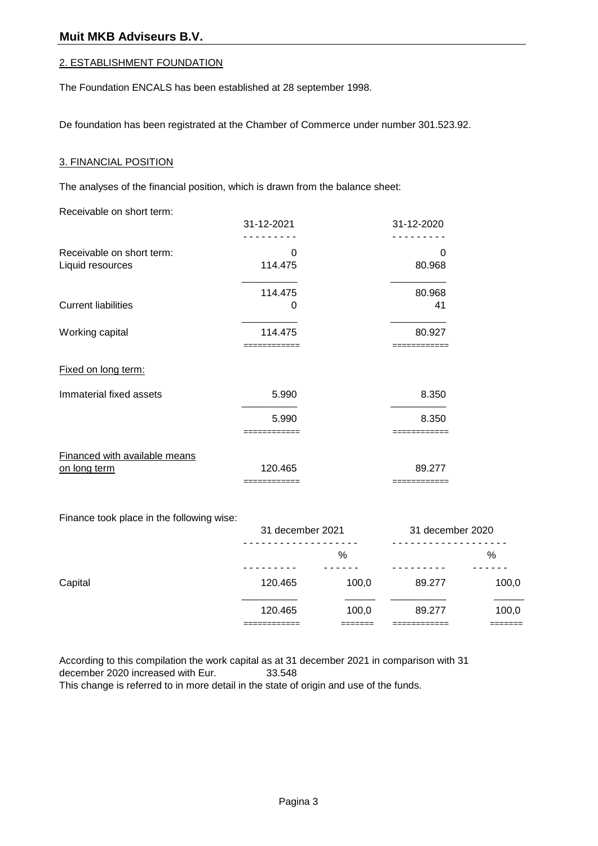#### 2. ESTABLISHMENT FOUNDATION

The Foundation ENCALS has been established at 28 september 1998.

De foundation has been registrated at the Chamber of Commerce under number 301.523.92.

#### 3. FINANCIAL POSITION

The analyses of the financial position, which is drawn from the balance sheet:

Receivable on short term:

|                               | 31-12-2021   | 31-12-2020   |
|-------------------------------|--------------|--------------|
|                               |              |              |
| Receivable on short term:     | 0            | 0            |
| Liquid resources              | 114.475      | 80.968       |
|                               | 114.475      | 80.968       |
| <b>Current liabilities</b>    | 0            | 41           |
| Working capital               | 114.475      | 80.927       |
|                               |              |              |
| Fixed on long term:           |              |              |
| Immaterial fixed assets       | 5.990        | 8.350        |
|                               | 5.990        | 8.350        |
|                               | ========     |              |
| Financed with available means |              |              |
| on long term                  | 120.465      | 89.277       |
|                               | ============ | ============ |

Finance took place in the following wise:

|                      |              | 31 december 2020            |                            |
|----------------------|--------------|-----------------------------|----------------------------|
|                      | %            |                             | %                          |
| 120.465              | 100,0        | 89.277                      | 100,0                      |
| 120.465<br>_________ | 100,0        | 89.277                      | 100,0<br>_______<br>______ |
|                      | ____________ | 31 december 2021<br>_______ | ------------               |

According to this compilation the work capital as at 31 december 2021 in comparison with 31 december 2020 increased with Eur. 33.548 This change is referred to in more detail in the state of origin and use of the funds.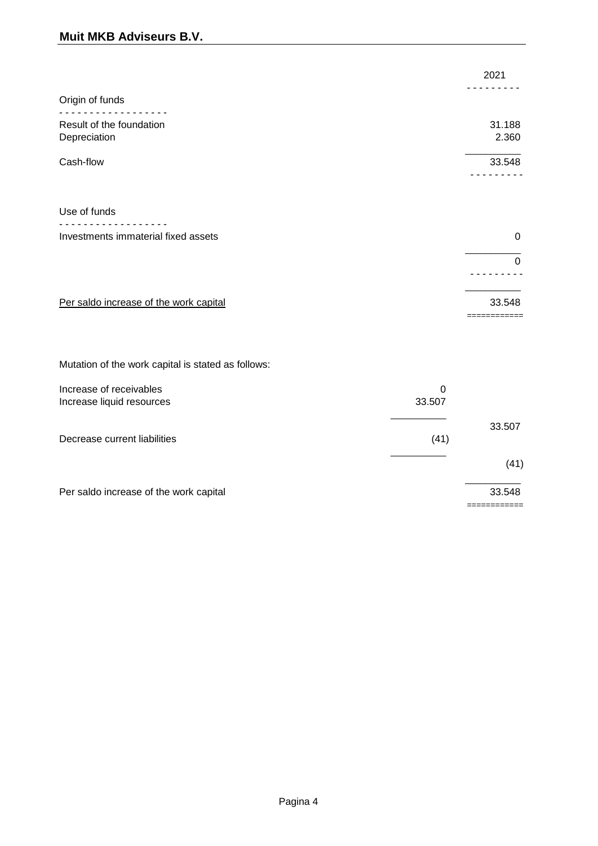# **Muit MKB Adviseurs B.V.**

|                                          | 2021            |
|------------------------------------------|-----------------|
| Origin of funds                          |                 |
| Result of the foundation<br>Depreciation | 31.188<br>2.360 |
| Cash-flow                                | 33.548          |
|                                          |                 |
| Use of funds                             |                 |
| Investments immaterial fixed assets      | 0               |
|                                          | $\Omega$        |
|                                          |                 |
| Per saldo increase of the work capital   | 33.548          |
|                                          |                 |

Mutation of the work capital is stated as follows:

| Increase of receivables<br>Increase liquid resources | 0<br>33.507 |        |
|------------------------------------------------------|-------------|--------|
| Decrease current liabilities                         | (41)        | 33.507 |
|                                                      |             | (41)   |
| Per saldo increase of the work capital               |             | 33.548 |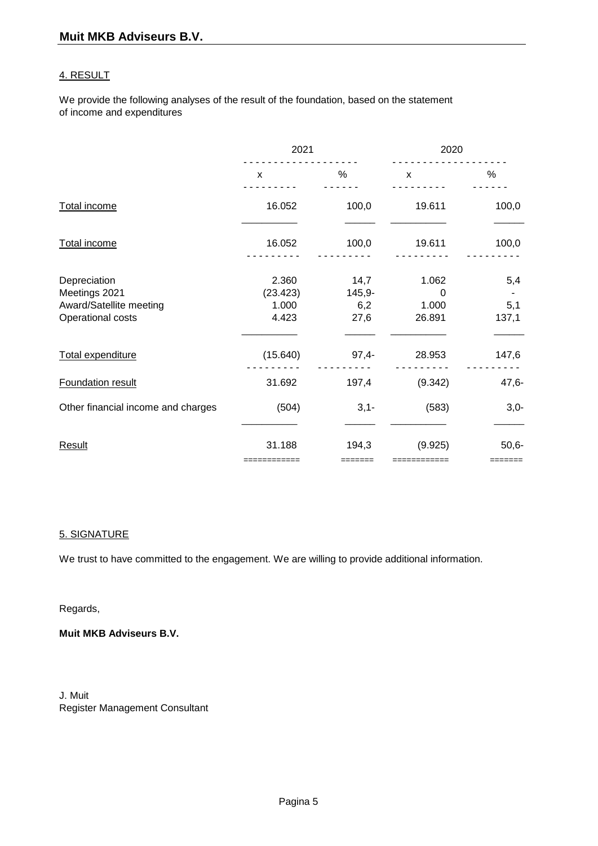#### 4. RESULT

We provide the following analyses of the result of the foundation, based on the statement of income and expenditures

|                                                                               | 2021                                |                                 | 2020                                 |                     |
|-------------------------------------------------------------------------------|-------------------------------------|---------------------------------|--------------------------------------|---------------------|
|                                                                               | $\mathsf{x}$                        | %                               | $\mathsf{x}$                         | %                   |
| Total income                                                                  | 16.052                              | 100,0                           | 19.611                               | 100,0               |
| Total income                                                                  | 16.052                              | 100,0                           | 19.611                               | 100,0               |
| Depreciation<br>Meetings 2021<br>Award/Satellite meeting<br>Operational costs | 2.360<br>(23.423)<br>1.000<br>4.423 | 14,7<br>$145,9-$<br>6,2<br>27,6 | 1.062<br>$\Omega$<br>1.000<br>26.891 | 5,4<br>5,1<br>137,1 |
| Total expenditure                                                             | (15.640)                            | $97,4-$                         | 28.953                               | 147,6               |
| Foundation result                                                             | 31.692                              | 197,4                           | (9.342)                              | $47,6-$             |
| Other financial income and charges                                            | (504)                               | $3,1-$                          | (583)                                | $3,0-$              |
| Result                                                                        | 31.188                              | 194,3                           | (9.925)<br>============              | $50,6-$<br>=======  |

#### 5. SIGNATURE

We trust to have committed to the engagement. We are willing to provide additional information.

#### Regards,

**Muit MKB Adviseurs B.V.**

J. Muit Register Management Consultant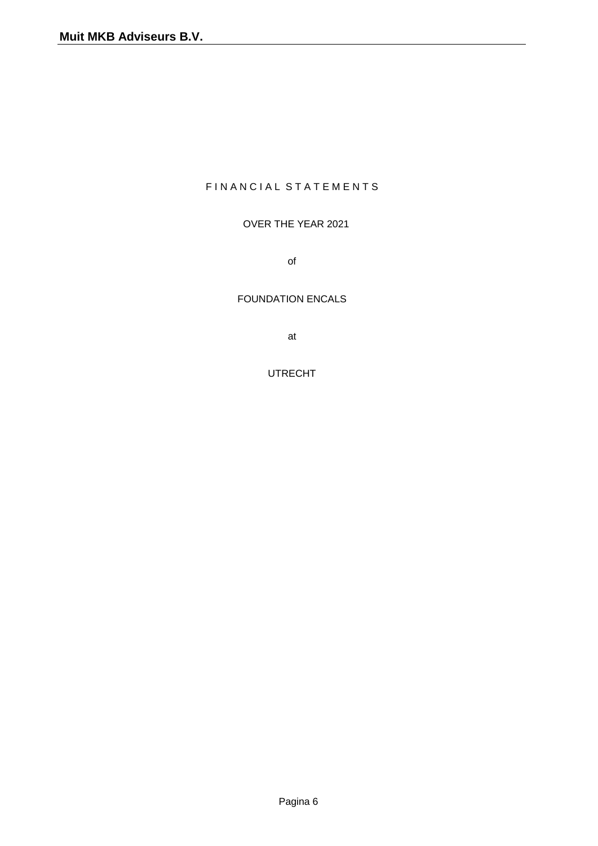## FIN A N C I A L S T A T E M E N T S

#### OVER THE YEAR 2021

of

#### FOUNDATION ENCALS

at

UTRECHT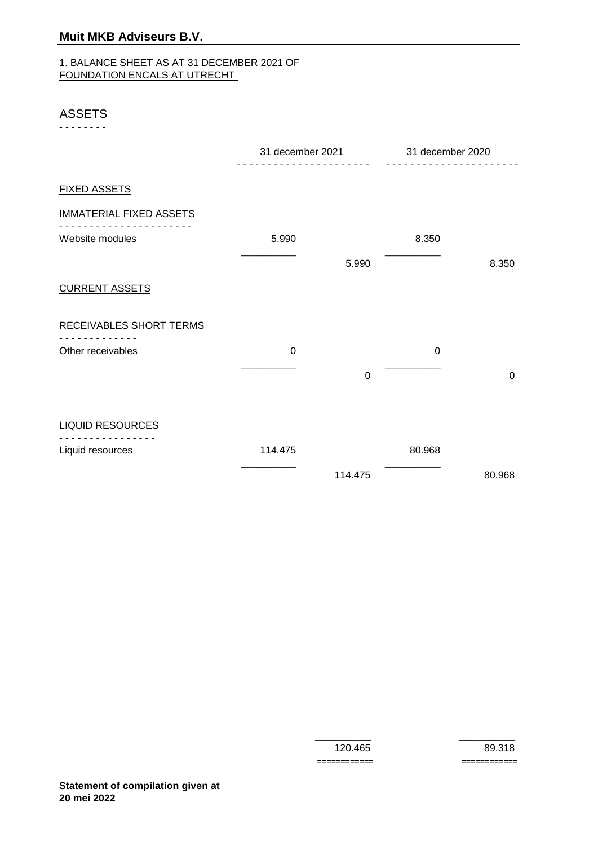#### 1. BALANCE SHEET AS AT 31 DECEMBER 2021 OF FOUNDATION ENCALS AT UTRECHT

#### ASSETS

- - - - - - - -

|                                | 31 december 2021 |         | 31 december 2020 |             |
|--------------------------------|------------------|---------|------------------|-------------|
| <b>FIXED ASSETS</b>            |                  |         |                  |             |
| <b>IMMATERIAL FIXED ASSETS</b> |                  |         |                  |             |
| Website modules                | 5.990            |         | 8.350            |             |
|                                |                  | 5.990   |                  | 8.350       |
| <b>CURRENT ASSETS</b>          |                  |         |                  |             |
| RECEIVABLES SHORT TERMS        |                  |         |                  |             |
| Other receivables              | 0                |         | $\mathbf 0$      |             |
|                                |                  | 0       |                  | $\mathbf 0$ |
| <b>LIQUID RESOURCES</b>        |                  |         |                  |             |
|                                |                  |         |                  |             |
| Liquid resources               | 114.475          |         | 80.968           |             |
|                                |                  | 114.475 |                  | 80.968      |

 $\overline{\phantom{a}}$  , and the contract of the contract of the contract of the contract of the contract of the contract of the contract of the contract of the contract of the contract of the contract of the contract of the contrac

 120.465 89.318 ============ ============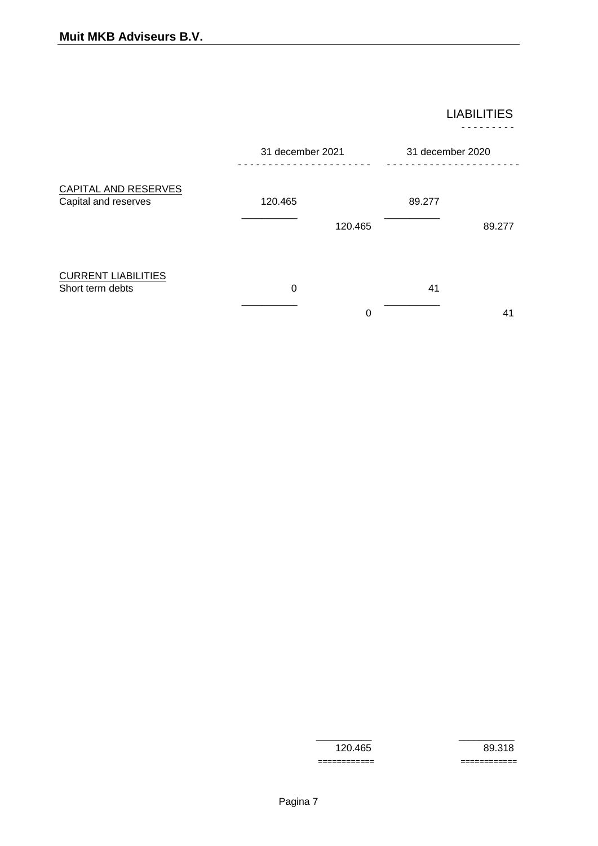LIABILITIES - - - - - - - - -

|                                                | 31 december 2021 |         | 31 december 2020 |                |
|------------------------------------------------|------------------|---------|------------------|----------------|
| CAPITAL AND RESERVES<br>Capital and reserves   | 120.465          | 120.465 | 89.277           | 89.277         |
| <b>CURRENT LIABILITIES</b><br>Short term debts | 0                | 0       | 41               | 4 <sup>1</sup> |

============ ============

 $\overline{\phantom{a}}$  ,  $\overline{\phantom{a}}$  ,  $\overline{\phantom{a}}$  ,  $\overline{\phantom{a}}$  ,  $\overline{\phantom{a}}$  ,  $\overline{\phantom{a}}$  ,  $\overline{\phantom{a}}$  ,  $\overline{\phantom{a}}$  ,  $\overline{\phantom{a}}$  ,  $\overline{\phantom{a}}$  ,  $\overline{\phantom{a}}$  ,  $\overline{\phantom{a}}$  ,  $\overline{\phantom{a}}$  ,  $\overline{\phantom{a}}$  ,  $\overline{\phantom{a}}$  ,  $\overline{\phantom{a}}$ 

120.465 89.318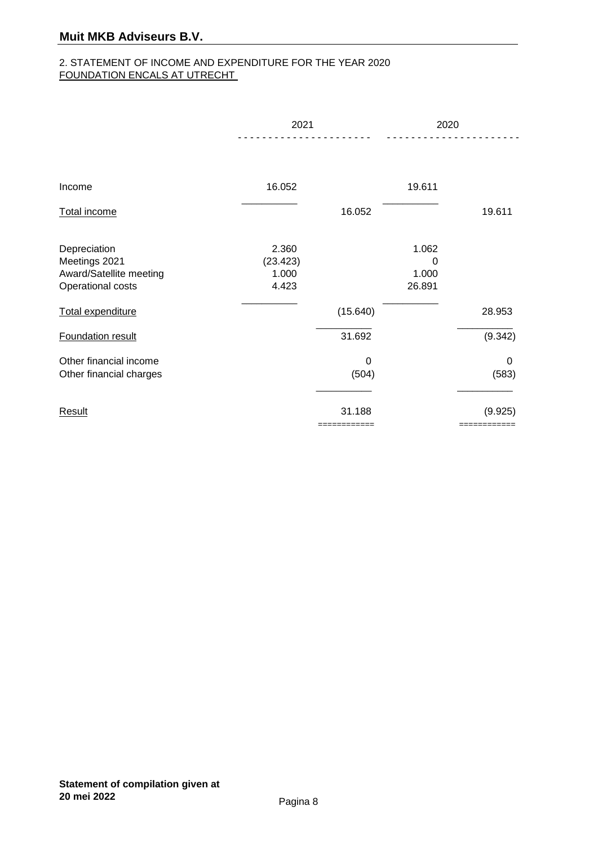#### 2. STATEMENT OF INCOME AND EXPENDITURE FOR THE YEAR 2020 FOUNDATION ENCALS AT UTRECHT

|                                                                               | 2021                                |            | 2020                          |            |
|-------------------------------------------------------------------------------|-------------------------------------|------------|-------------------------------|------------|
|                                                                               |                                     |            |                               |            |
| Income                                                                        | 16.052                              |            | 19.611                        |            |
| Total income                                                                  |                                     | 16.052     |                               | 19.611     |
| Depreciation<br>Meetings 2021<br>Award/Satellite meeting<br>Operational costs | 2.360<br>(23.423)<br>1.000<br>4.423 |            | 1.062<br>0<br>1.000<br>26.891 |            |
| Total expenditure                                                             |                                     | (15.640)   |                               | 28.953     |
| Foundation result                                                             |                                     | 31.692     |                               | (9.342)    |
| Other financial income<br>Other financial charges                             |                                     | 0<br>(504) |                               | 0<br>(583) |
| Result                                                                        |                                     | 31.188     |                               | (9.925)    |
|                                                                               |                                     | =========  |                               |            |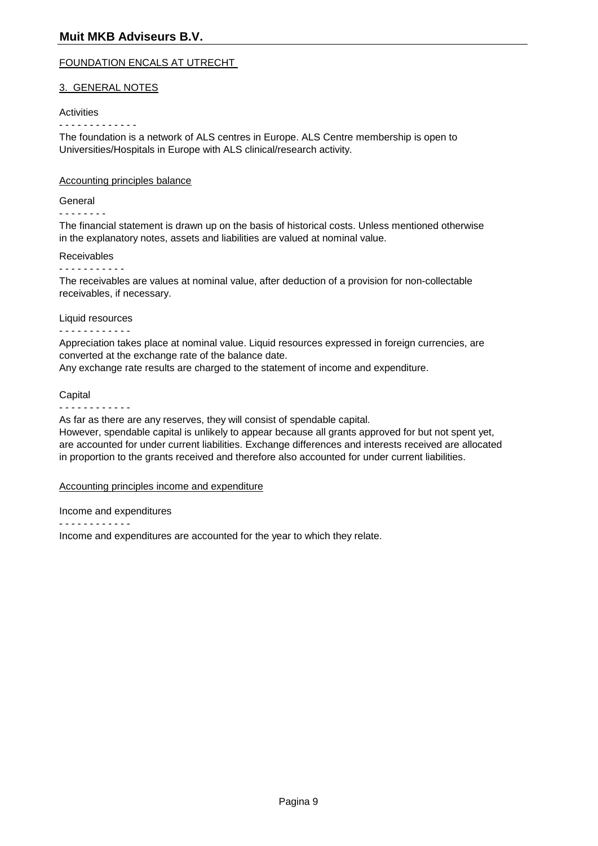#### FOUNDATION ENCALS AT UTRECHT

#### 3. GENERAL NOTES

#### Activities

- - - - - - - - - - - - -

The foundation is a network of ALS centres in Europe. ALS Centre membership is open to Universities/Hospitals in Europe with ALS clinical/research activity.

#### Accounting principles balance

#### General

#### - - - - - - - -

The financial statement is drawn up on the basis of historical costs. Unless mentioned otherwise in the explanatory notes, assets and liabilities are valued at nominal value.

#### Receivables

#### - - - - - - - - - - -

The receivables are values at nominal value, after deduction of a provision for non-collectable receivables, if necessary.

#### Liquid resources

#### - - - - - - - - - - - -

Appreciation takes place at nominal value. Liquid resources expressed in foreign currencies, are converted at the exchange rate of the balance date.

Any exchange rate results are charged to the statement of income and expenditure.

#### **Capital**

- - - - - - - - - - - -

As far as there are any reserves, they will consist of spendable capital.

However, spendable capital is unlikely to appear because all grants approved for but not spent yet, are accounted for under current liabilities. Exchange differences and interests received are allocated in proportion to the grants received and therefore also accounted for under current liabilities.

#### Accounting principles income and expenditure

Income and expenditures

- - - - - - - - - - - -

Income and expenditures are accounted for the year to which they relate.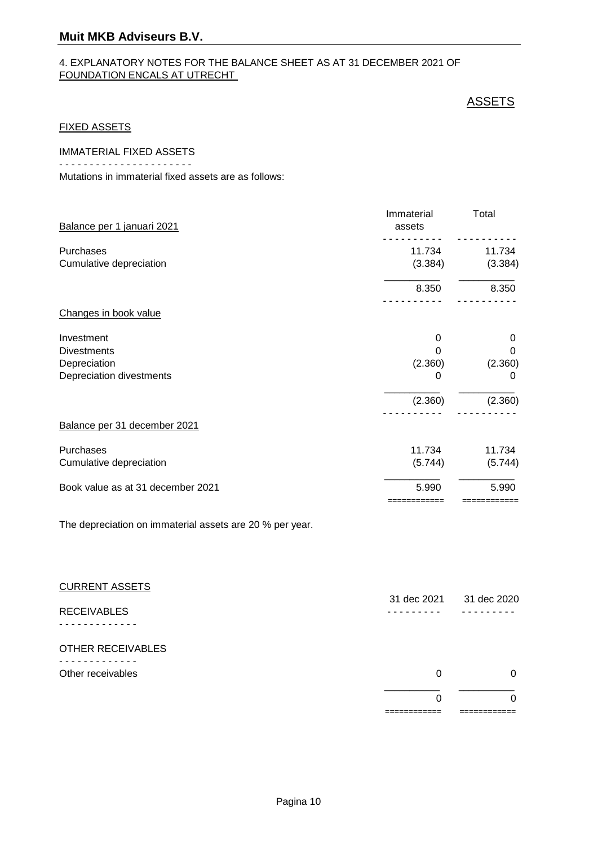# **Muit MKB Adviseurs B.V.**

#### 4. EXPLANATORY NOTES FOR THE BALANCE SHEET AS AT 31 DECEMBER 2021 OF FOUNDATION ENCALS AT UTRECHT

### **ASSETS**

============ ============

#### FIXED ASSETS

IMMATERIAL FIXED ASSETS

- - - - - - - - - - - - - - - - - - - - - -

Mutations in immaterial fixed assets are as follows:

| Balance per 1 januari 2021        | Immaterial<br>assets | Total   |
|-----------------------------------|----------------------|---------|
| Purchases                         | 11.734               | 11.734  |
| Cumulative depreciation           | (3.384)              | (3.384) |
|                                   | 8.350                | 8.350   |
| Changes in book value             |                      |         |
| Investment                        | 0                    | 0       |
| <b>Divestments</b>                | O                    | 0       |
| Depreciation                      | (2.360)              | (2.360) |
| Depreciation divestments          | 0                    | 0       |
|                                   | (2.360)              | (2.360) |
| Balance per 31 december 2021      |                      |         |
| Purchases                         | 11.734               | 11.734  |
| Cumulative depreciation           | (5.744)              | (5.744) |
| Book value as at 31 december 2021 | 5.990                | 5.990   |

The depreciation on immaterial assets are 20 % per year.

| <b>CURRENT ASSETS</b> |             |             |
|-----------------------|-------------|-------------|
|                       | 31 dec 2021 | 31 dec 2020 |
| <b>RECEIVABLES</b>    |             |             |
|                       |             |             |
| OTHER RECEIVABLES     |             |             |
|                       |             |             |
| Other receivables     | $\Omega$    | 0           |
|                       |             |             |
|                       | 0           | 0           |
|                       | _________   |             |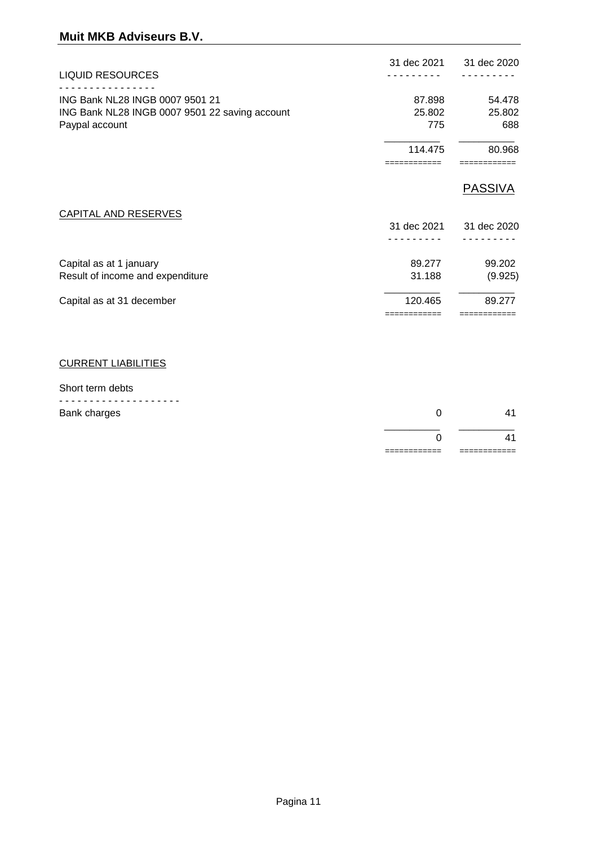| <b>LIQUID RESOURCES</b>                        | 31 dec 2021 | 31 dec 2020    |
|------------------------------------------------|-------------|----------------|
|                                                |             |                |
| ING Bank NL28 INGB 0007 9501 21                | 87.898      | 54.478         |
| ING Bank NL28 INGB 0007 9501 22 saving account | 25.802      | 25.802         |
| Paypal account                                 | 775         | 688            |
|                                                | 114.475     | 80.968         |
|                                                |             |                |
|                                                |             | <b>PASSIVA</b> |
| <b>CAPITAL AND RESERVES</b>                    |             |                |
|                                                | 31 dec 2021 | 31 dec 2020    |
|                                                |             |                |
| Capital as at 1 january                        | 89.277      | 99.202         |
| Result of income and expenditure               | 31.188      | (9.925)        |
| Capital as at 31 december                      | 120.465     | 89.277         |
|                                                |             |                |

# CURRENT LIABILITIES

#### Short term debts

|              | 11                        |
|--------------|---------------------------|
| Bank charges | $\mathbf{A}^{\mathbf{4}}$ |
| ---------    |                           |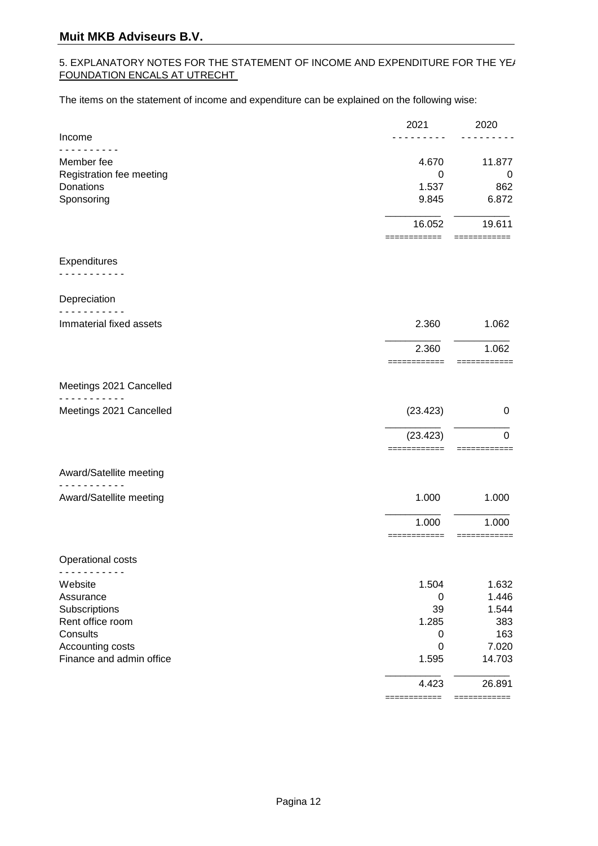#### 5. EXPLANATORY NOTES FOR THE STATEMENT OF INCOME AND EXPENDITURE FOR THE YE/ FOUNDATION ENCALS AT UTRECHT

The items on the statement of income and expenditure can be explained on the following wise:

|                          | 2021                   | 2020                   |
|--------------------------|------------------------|------------------------|
| Income                   |                        |                        |
| Member fee               | 4.670                  | 11.877                 |
| Registration fee meeting | 0                      | 0                      |
| Donations                | 1.537                  | 862                    |
| Sponsoring               | 9.845                  | 6.872                  |
|                          | 16.052<br>============ | 19.611<br>============ |
| Expenditures             |                        |                        |
|                          |                        |                        |
| Depreciation             |                        |                        |
| Immaterial fixed assets  | 2.360                  | 1.062                  |
|                          | 2.360                  | 1.062                  |
|                          | ============           | ============           |
| Meetings 2021 Cancelled  |                        |                        |
| Meetings 2021 Cancelled  | (23.423)               | 0                      |
|                          | (23.423)               | $\Omega$               |
| Award/Satellite meeting  |                        |                        |
|                          |                        |                        |
| Award/Satellite meeting  | 1.000                  | 1.000                  |
|                          | 1.000<br>===========   | 1.000<br>===========   |
| Operational costs        |                        |                        |
| ------                   |                        |                        |
| Website<br>Assurance     | 1.504<br>0             | 1.632<br>1.446         |
| Subscriptions            | 39                     | 1.544                  |
| Rent office room         | 1.285                  | 383                    |
| Consults                 | 0                      | 163                    |
| Accounting costs         | 0                      | 7.020                  |
| Finance and admin office | 1.595                  | 14.703                 |
|                          | 4.423                  | 26.891                 |
|                          | ==========             | =========              |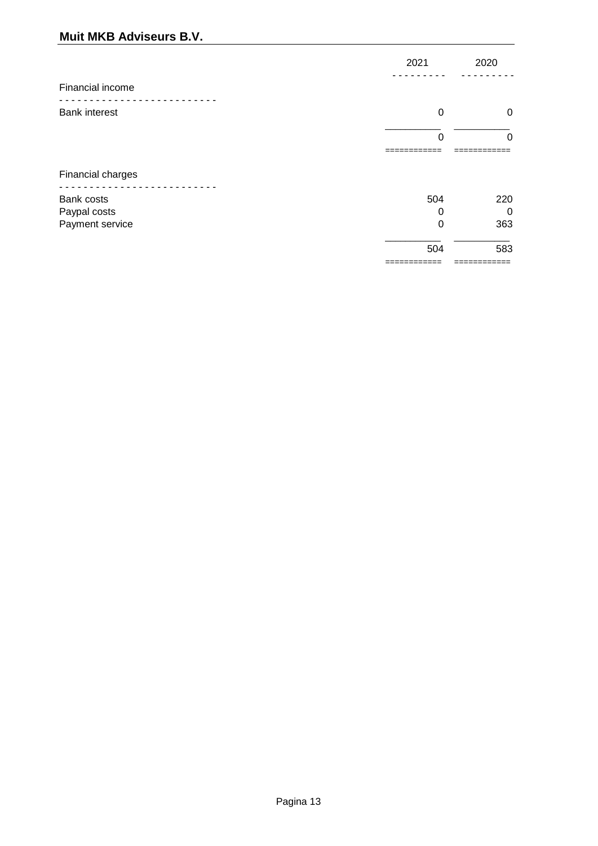# **Muit MKB Adviseurs B.V.**

| 2021                | 2020              |
|---------------------|-------------------|
|                     |                   |
| $\mathbf 0$         | 0                 |
| $\Omega$            | $\Omega$          |
|                     |                   |
| 504                 | 220               |
| 0                   | $\Omega$<br>363   |
| 504<br>------------ | 583<br>---------- |
|                     | 0                 |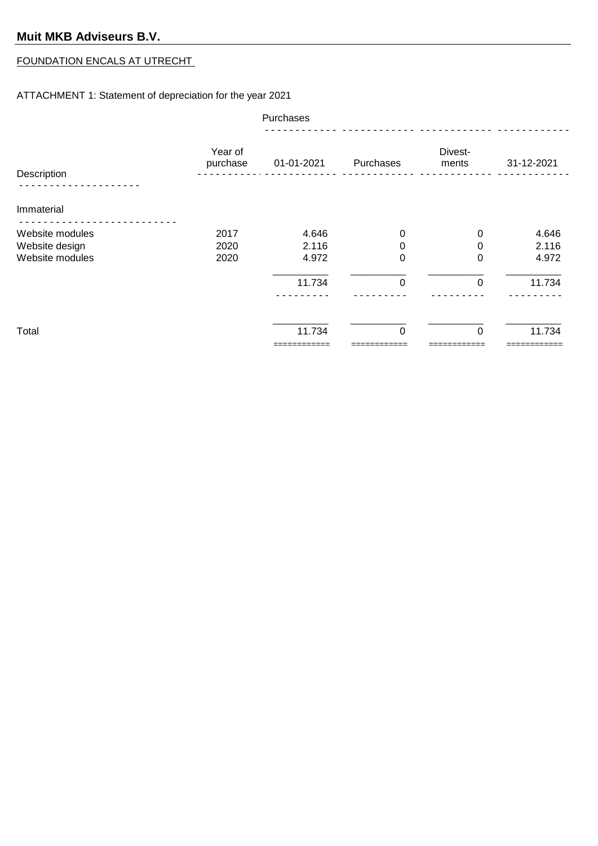#### FOUNDATION ENCALS AT UTRECHT

#### ATTACHMENT 1: Statement of depreciation for the year 2021

|                 | Purchases           |             |             |                  |            |
|-----------------|---------------------|-------------|-------------|------------------|------------|
| Description     | Year of<br>purchase | 01-01-2021  | Purchases   | Divest-<br>ments | 31-12-2021 |
|                 |                     |             |             |                  |            |
| Immaterial      |                     |             |             |                  |            |
| Website modules | 2017                | 4.646       | $\mathbf 0$ | 0                | 4.646      |
| Website design  | 2020                | 2.116       | 0           | 0                | 2.116      |
| Website modules | 2020                | 4.972       | $\pmb{0}$   | $\Omega$         | 4.972      |
|                 |                     | 11.734      | $\mathbf 0$ | $\Omega$         | 11.734     |
|                 |                     |             |             |                  |            |
|                 |                     |             |             |                  |            |
| Total           |                     | 11.734      | $\mathbf 0$ | $\Omega$         | 11.734     |
|                 |                     | =========== |             |                  |            |